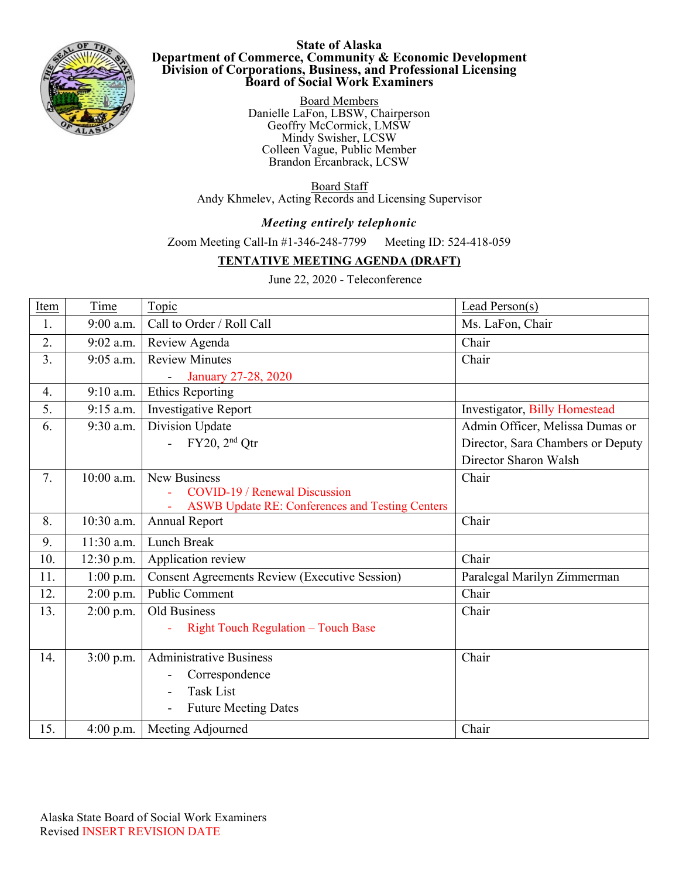

## **State of Alaska Department of Commerce, Community & Economic Development Division of Corporations, Business, and Professional Licensing Board of Social Work Examiners**

Board Members Danielle LaFon, LBSW, Chairperson Geoffry McCormick, LMSW Mindy Swisher, LCSW Colleen Vague, Public Member Brandon Ercanbrack, LCSW.

Board Staff Andy Khmelev, Acting Records and Licensing Supervisor

## *Meeting entirely telephonic*

Zoom Meeting Call-In #1-346-248-7799 Meeting ID: 524-418-059

## **TENTATIVE MEETING AGENDA (DRAFT)**

June 22, 2020 - Teleconference

| Item | Time        | Topic                                                  | Lead Person(s)                    |
|------|-------------|--------------------------------------------------------|-----------------------------------|
| 1.   | 9:00 a.m.   | Call to Order / Roll Call                              | Ms. LaFon, Chair                  |
| 2.   | 9:02 a.m.   | Review Agenda                                          | Chair                             |
| 3.   | $9:05$ a.m. | <b>Review Minutes</b>                                  | Chair                             |
|      |             | January 27-28, 2020                                    |                                   |
| 4.   | 9:10 a.m.   | <b>Ethics Reporting</b>                                |                                   |
| 5.   | 9:15 a.m.   | Investigative Report                                   | Investigator, Billy Homestead     |
| 6.   | 9:30 a.m.   | Division Update                                        | Admin Officer, Melissa Dumas or   |
|      |             | FY20, 2 <sup>nd</sup> Qtr                              | Director, Sara Chambers or Deputy |
|      |             |                                                        | Director Sharon Walsh             |
| 7.   | 10:00 a.m.  | <b>New Business</b>                                    | Chair                             |
|      |             | COVID-19 / Renewal Discussion                          |                                   |
|      |             | <b>ASWB Update RE: Conferences and Testing Centers</b> |                                   |
| 8.   | 10:30 a.m.  | <b>Annual Report</b>                                   | Chair                             |
| 9.   | 11:30 a.m.  | Lunch Break                                            |                                   |
| 10.  | 12:30 p.m.  | Application review                                     | Chair                             |
| 11.  | 1:00 p.m.   | <b>Consent Agreements Review (Executive Session)</b>   | Paralegal Marilyn Zimmerman       |
| 12.  | $2:00$ p.m. | Public Comment                                         | Chair                             |
| 13.  | $2:00$ p.m. | Old Business                                           | Chair                             |
|      |             | <b>Right Touch Regulation - Touch Base</b>             |                                   |
|      |             |                                                        |                                   |
| 14.  | 3:00 p.m.   | <b>Administrative Business</b>                         | Chair                             |
|      |             | Correspondence                                         |                                   |
|      |             | <b>Task List</b>                                       |                                   |
|      |             | <b>Future Meeting Dates</b>                            |                                   |
| 15.  | $4:00$ p.m. | Meeting Adjourned                                      | Chair                             |